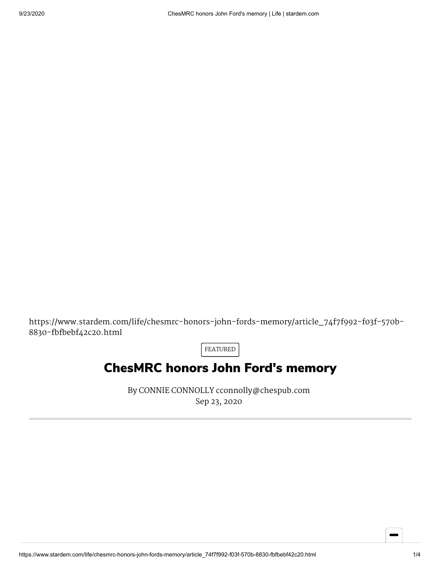https://www.stardem.com/life/chesmrc-honors-john-fords-memory/article\_74f7f992-f03f-570b-8830-fbfbebf42c20.html

FEATURED

## ChesMRC honors John Ford's memory

By CONNIE CONNOLLY cconnolly@chespub.com Sep 23, 2020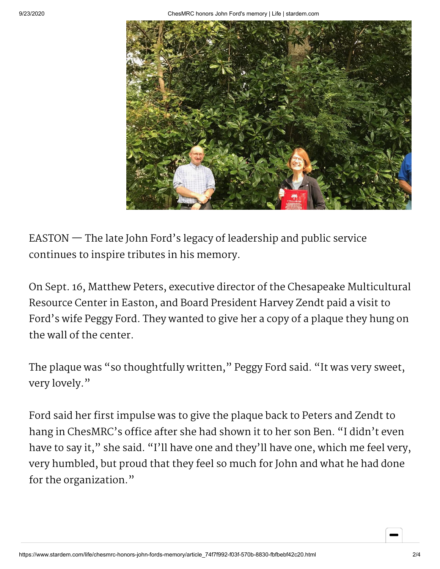

 $EASTON$  – The late John Ford's legacy of leadership and public service continues to inspire tributes in his memory.

On Sept. 16, Matthew Peters, executive director of the Chesapeake Multicultural Resource Center in Easton, and Board President Harvey Zendt paid a visit to Ford's wife Peggy Ford. They wanted to give her a copy of a plaque they hung on the wall of the center.

The plaque was "so thoughtfully written, " Peggy Ford said. "It was very sweet, very lovely."

Ford said her first impulse was to give the plaque back to Peters and Zendt to hang in ChesMRC's office after she had shown it to her son Ben. "I didn't even have to say it," she said. "I'll have one and they'll have one, which me feel very, very humbled, but proud that they feel so much for John and what he had done for the organization."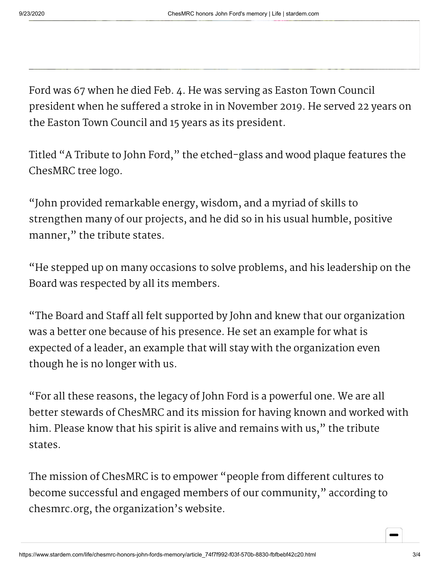Ford was 67 when he died Feb. 4. He was serving as Easton Town Council president when he suffered a stroke in in November 2019. He served 22 years on the Easton Town Council and 15 years as its president.

Titled "A Tribute to John Ford, " the etched-glass and wood plaque features the ChesMRC tree logo.

"John provided remarkable energy, wisdom, and a myriad of skills to strengthen many of our projects, and he did so in his usual humble, positive manner," the tribute states.

"He stepped up on many occasions to solve problems, and his leadership on the Board was respected by all its members.

"The Board and Staff all felt supported by John and knew that our organization was a better one because of his presence. He set an example for what is expected of a leader, an example that will stay with the organization even though he is no longer with us.

"For all these reasons, the legacy of John Ford is a powerful one. We are all better stewards of ChesMRC and its mission for having known and worked with him. Please know that his spirit is alive and remains with us, " the tribute states.

The mission of ChesMRC is to empower "people from different cultures to become successful and engaged members of our community, " according to [chesmrc.org,](http://chesmrc.org/) the organization's website.